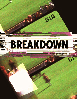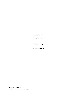## BREAKDOWN

"Frame 313"

Written by

Matt Lathrom

matt@mlathrom.com writtenby.mlathrom.com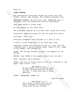## FADE IN:

## **VIDEO FOOTAGE**

The presidential motorcade rounds the corner onto Elm Street. Grainy, 8mm footage. The infamous Zapruder Film.

PRESIDENT KENNEDY and the first lady, JAQUELINE wave to onlookers from the convertible Lincoln Continental.

They pass behind a street sign.

As they emerge on the other side--

The president reaches up with both arms, grabs his throat.

Concerned, Jaqueline grabs his arm. He grips his throat.

Stillness, calm, then--

President Kennedy's head explodes in a mist of red.

A flap of scalp folds back as his body goes limp.

FADE IN:<br>
YINDO TOOTAGE<br>
The presidential motorcade rounds the corner onto Blm<br>
Sires: Crainy, Smm foothege. The infermous Zapruler Film.<br>
PRESIDENT KENNEDY and the first lady, JAQUELINE wave to<br>
conlookers from the conver Jaqueline climbs onto the back of the car, away from the lifeless body. A secret service agent rushes to her, jumps on the bumper. She reaches out.

PAUSE. The footage freezes. A pause icon appears at the bottom.

REWIND, then PUASE at the moment before the kill-shot.

PLAY, Kennedy's head explodes.

PAUSE. The mist of blood frozen in the air. Timecode in the upper right corner: "313"

> THE ARTIST (V.O.) My dad always told me believe none of what you hear and half of what you see. I think even that's being generous.

SUPER: "BREAKDOWN: FRAME 313"

FADE TO BLACK.

THE ARTIST (V.O.) The project started like all the rest. A packet of instructions along with the raw footage.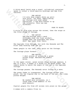A thick metal hatch atop a steel, cylindrical container opens to reveal a thick manilla envelope and 8mm film canister.

A chick metal ateric atops a steel, cylindrical container<br>opens to reveal a thick manilla envelope and Semm film<br>children:<br>The ARTIST<br>opens to reveal a this point: You know, embellishing<br>which is a favor more point in the THE ARTIST I'd only done simple shots up until this point. You know, embellishing war footage with some added explosions, a few more bodies to up the intensity. This one was different.

FADE TO BLACK.

A strip of film zips across the screen, then the stops at the first frame of footage.

# THE ARTIST

The raw footage wasn't much different than the final product, except that the president was never shot. Was never even there.

The Zapruder film footage, but with the Kennedy and The First Lady missing from the car.

Fewer people in the lawn. Less grain on the footage.

The footage plays forward

THE ARTIST I shot plates of actors on a green screen stage. Matched the camera moves.

In the upper corner, green screen stage footage appears. A man in a suit, a woman in a dress sit on green boxes. The camera moves to match the angle of the car in the Zapruder footage.

The footage pauses. The Kennedy actor frozen in a wave.

The green fades to transparent. The footage slides into place, the two figures now in the back of the car. The video plates merged.

> THE ARTIST We needed more witnesses, so I threw some crowd members in for good measure.

Digital people fly from off screen into place on the grass.

A woman with a camera flies in.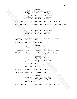THE ARTIST

This lady with the camera. Just misdirection. They'll look for her to verify the authenticity of the footage when the only evidence of her existence is the inauthentic footage. Half of what you see...

The footage plays. The Kennedy actor holds his throat.

A gray 3d model of Kennedy's head appears in the lower left corner. Spins.

> THE ARTIST Luckily the president was handsome, so there was plenty of reference to assemble a convincing model for face replacement.

The face turns into position, flies onto the actor's head. Blends in. It's now Kennedy.

The same happens with Jaqueline's face.

THE ARTIST The last bit was the kill-shot.

The footage stops as the actor jerks his head back.

A blood mist element fades in on top of his head.

This landy with the common Just the scheening with the common Just the scheening of the substration of the matricial form and the residence is the inangle increase is the insurable increase is the contage plays. The Renned THE ARTIST The mist kind of just explodes. From no particular direction. The idea was to make it vague so they would have flexibility in fabricating the story, at least that's what I assume. They wanted it gruesome, though.

A digital skin flap appears on the head.

Gray matter chunks materialize in the air.

THE ARTIST Kennedy was never actually killed. In fact, I'd never heard of the Zapruder film. It didn't exist. Not in my timeline.

The footage rewinds. Plays. Kennedy's head explodes.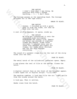THE ARTIST I didn't know what I was doing. My previous work didn't change anything... I... I don't know.

The footage pauses on the exploding head. The footage glitches out in VHS tape static.

SMASH TO BLACK.

THE ARTIST Anyway. I finished up with a grain pass to hide any flaws, not that my work ever has any.

A reel of film appears. It spins, winds up.

## THE ARTIST

I didn't know what I was doing. My<br>
sampling... I... I don't change<br>
anything... I... I don't know<br>
change pauses on the exploding head. The footage<br>
gliches out in WES keps etails.<br>
SMAEM TO BLACK.<br>
NAMPLATE THE ARTIST<br>
A My film guy transferred it onto the requested eight-millimeter Kodachrome Two safety film. Twenty six point six seconds at eighteen frames per second. Frame three thirteen. I touched every one of those four hundred and eighty six frames, but frame three thirteen was the one that changed everything.

The sound of a gunshot rings out, as the last of the strip sucks into the reel.

FADE TO BLACK.

The metal hatch of the cylindrical container opens. Empty.

A arm places the reel of film at the bottom. Closes the hatch.

FADE TO BLACK.

A digital control face on the front of the cylinder appear. A date types out in digital script: "11/21/1963"

The machine rumbles. A loud hum fills the air. Light spills from the cracks around the hatch.

A loud pop. Then it settles.

Smoke rises from the hatch.

## FADE TO BLACK.